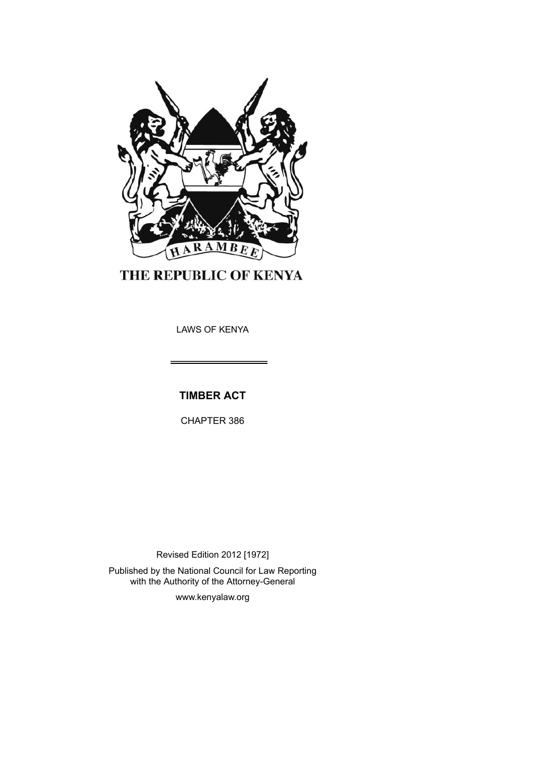

THE REPUBLIC OF KENYA

LAWS OF KENYA

**TIMBER ACT**

CHAPTER 386

Revised Edition 2012 [1972] Published by the National Council for Law Reporting with the Authority of the Attorney-General

www.kenyalaw.org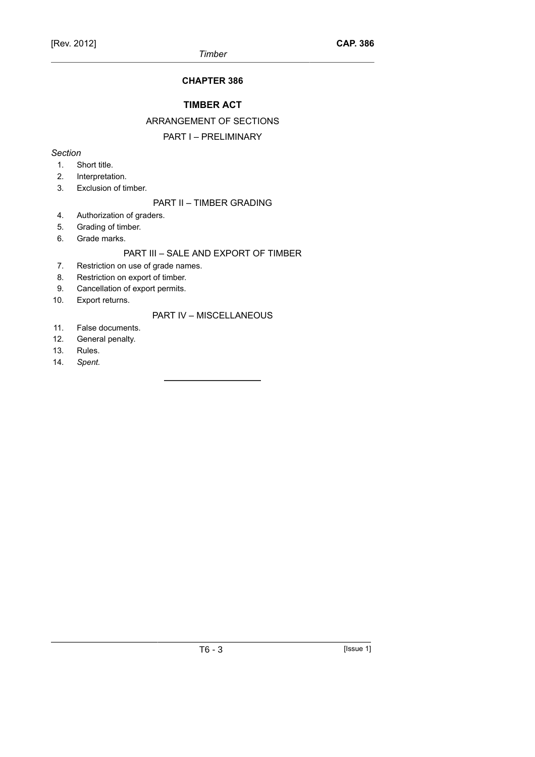## **CHAPTER 386**

## **TIMBER ACT**

## ARRANGEMENT OF SECTIONS

## PART I – PRELIMINARY

## *Section*

- 1. Short title.
- 2. Interpretation.
- 3. Exclusion of timber.

## PART II – TIMBER GRADING

- 4. Authorization of graders.
- 5. Grading of timber.
- 6. Grade marks.

## PART III – SALE AND EXPORT OF TIMBER

- 7. Restriction on use of grade names.
- 8. Restriction on export of timber.
- 9. Cancellation of export permits.
- 10. Export returns.

## PART IV – MISCELLANEOUS

- 11. False documents.
- 12. General penalty.
- 13. Rules.
- 14. *Spent.*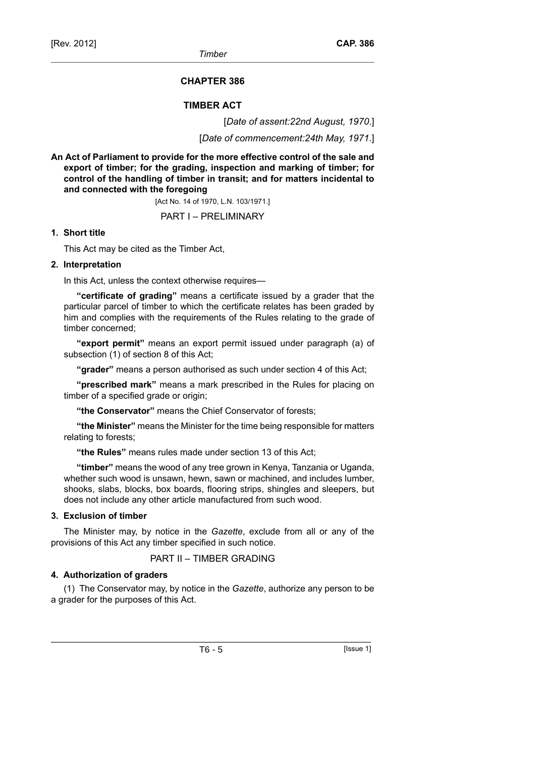## **CHAPTER 386**

## **TIMBER ACT**

[*Date of assent:22nd August, 1970*.]

[*Date of commencement:24th May, 1971*.]

**An Act of Parliament to provide for the more effective control of the sale and export of timber; for the grading, inspection and marking of timber; for control of the handling of timber in transit; and for matters incidental to and connected with the foregoing**

[Act No. 14 of 1970, L.N. 103/1971.]

## PART I – PRELIMINARY

## **1. Short title**

This Act may be cited as the Timber Act,

## **2. Interpretation**

In this Act, unless the context otherwise requires—

**"certificate of grading"** means a certificate issued by a grader that the particular parcel of timber to which the certificate relates has been graded by him and complies with the requirements of the Rules relating to the grade of timber concerned;

**"export permit"** means an export permit issued under paragraph (a) of subsection (1) of section 8 of this Act;

**"grader"** means a person authorised as such under section 4 of this Act;

**"prescribed mark"** means a mark prescribed in the Rules for placing on timber of a specified grade or origin;

**"the Conservator"** means the Chief Conservator of forests;

**"the Minister"** means the Minister for the time being responsible for matters relating to forests;

**"the Rules"** means rules made under section 13 of this Act;

**"timber"** means the wood of any tree grown in Kenya, Tanzania or Uganda, whether such wood is unsawn, hewn, sawn or machined, and includes lumber, shooks, slabs, blocks, box boards, flooring strips, shingles and sleepers, but does not include any other article manufactured from such wood.

### **3. Exclusion of timber**

The Minister may, by notice in the *Gazette*, exclude from all or any of the provisions of this Act any timber specified in such notice.

## PART II – TIMBER GRADING

### **4. Authorization of graders**

(1) The Conservator may, by notice in the *Gazette*, authorize any person to be a grader for the purposes of this Act.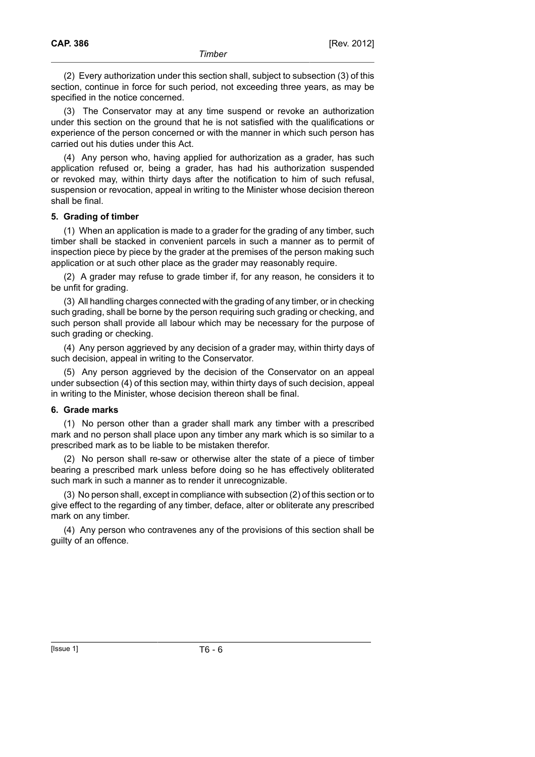(2) Every authorization under this section shall, subject to subsection (3) of this section, continue in force for such period, not exceeding three years, as may be specified in the notice concerned.

(3) The Conservator may at any time suspend or revoke an authorization under this section on the ground that he is not satisfied with the qualifications or experience of the person concerned or with the manner in which such person has carried out his duties under this Act.

(4) Any person who, having applied for authorization as a grader, has such application refused or, being a grader, has had his authorization suspended or revoked may, within thirty days after the notification to him of such refusal, suspension or revocation, appeal in writing to the Minister whose decision thereon shall be final.

## **5. Grading of timber**

(1) When an application is made to a grader for the grading of any timber, such timber shall be stacked in convenient parcels in such a manner as to permit of inspection piece by piece by the grader at the premises of the person making such application or at such other place as the grader may reasonably require.

(2) A grader may refuse to grade timber if, for any reason, he considers it to be unfit for grading.

(3) All handling charges connected with the grading of any timber, or in checking such grading, shall be borne by the person requiring such grading or checking, and such person shall provide all labour which may be necessary for the purpose of such grading or checking.

(4) Any person aggrieved by any decision of a grader may, within thirty days of such decision, appeal in writing to the Conservator.

(5) Any person aggrieved by the decision of the Conservator on an appeal under subsection (4) of this section may, within thirty days of such decision, appeal in writing to the Minister, whose decision thereon shall be final.

### **6. Grade marks**

(1) No person other than a grader shall mark any timber with a prescribed mark and no person shall place upon any timber any mark which is so similar to a prescribed mark as to be liable to be mistaken therefor.

(2) No person shall re-saw or otherwise alter the state of a piece of timber bearing a prescribed mark unless before doing so he has effectively obliterated such mark in such a manner as to render it unrecognizable.

(3) No person shall, except in compliance with subsection (2) of this section or to give effect to the regarding of any timber, deface, alter or obliterate any prescribed mark on any timber.

(4) Any person who contravenes any of the provisions of this section shall be guilty of an offence.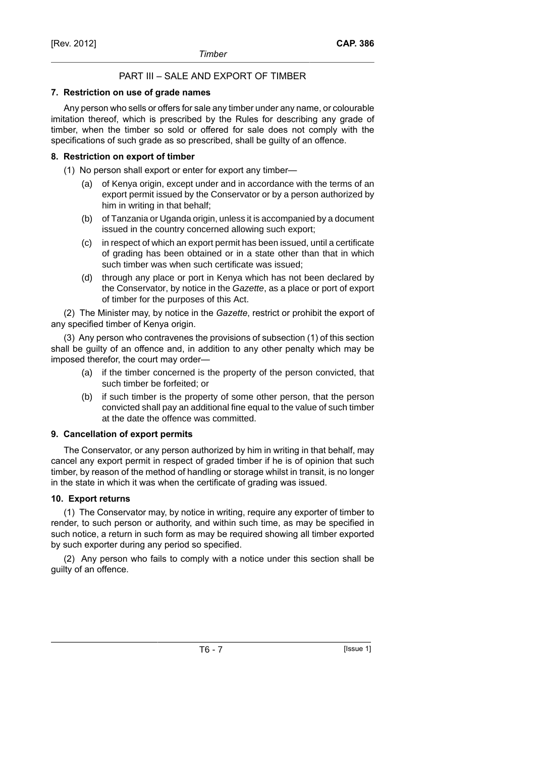## PART III – SALE AND EXPORT OF TIMBER

## **7. Restriction on use of grade names**

Any person who sells or offers for sale any timber under any name, or colourable imitation thereof, which is prescribed by the Rules for describing any grade of timber, when the timber so sold or offered for sale does not comply with the specifications of such grade as so prescribed, shall be guilty of an offence.

## **8. Restriction on export of timber**

- (1) No person shall export or enter for export any timber—
	- (a) of Kenya origin, except under and in accordance with the terms of an export permit issued by the Conservator or by a person authorized by him in writing in that behalf;
	- (b) of Tanzania or Uganda origin, unless it is accompanied by a document issued in the country concerned allowing such export;
	- (c) in respect of which an export permit has been issued, until a certificate of grading has been obtained or in a state other than that in which such timber was when such certificate was issued;
	- (d) through any place or port in Kenya which has not been declared by the Conservator, by notice in the Gazette, as a place or port of export of timber for the purposes of this Act.

(2) The Minister may, by notice in the *Gazette*, restrict or prohibit the export of any specified timber of Kenya origin.

(3) Any person who contravenes the provisions of subsection (1) of this section shall be guilty of an offence and, in addition to any other penalty which may be imposed therefor, the court may order—

- (a) if the timber concerned is the property of the person convicted, that such timber be forfeited; or
- (b) if such timber is the property of some other person, that the person convicted shall pay an additional fine equal to the value of such timber at the date the offence was committed.

## **9. Cancellation of export permits**

The Conservator, or any person authorized by him in writing in that behalf, may cancel any export permit in respect of graded timber if he is of opinion that such timber, by reason of the method of handling or storage whilst in transit, is no longer in the state in which it was when the certificate of grading was issued.

## **10. Export returns**

(1) The Conservator may, by notice in writing, require any exporter of timber to render, to such person or authority, and within such time, as may be specified in such notice, a return in such form as may be required showing all timber exported by such exporter during any period so specified.

(2) Any person who fails to comply with a notice under this section shall be guilty of an offence.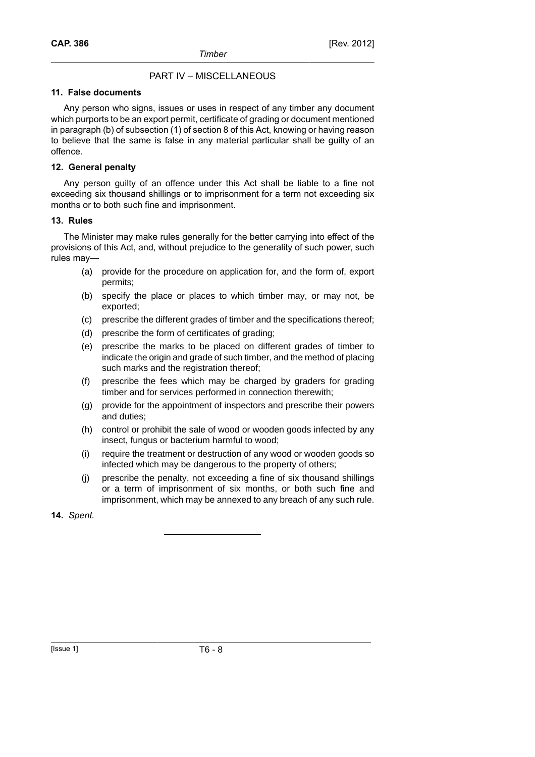## PART IV – MISCELLANEOUS

## **11. False documents**

Any person who signs, issues or uses in respect of any timber any document which purports to be an export permit, certificate of grading or document mentioned in paragraph (b) of subsection (1) of section 8 of this Act, knowing or having reason to believe that the same is false in any material particular shall be guilty of an offence.

## **12. General penalty**

Any person guilty of an offence under this Act shall be liable to a fine not exceeding six thousand shillings or to imprisonment for a term not exceeding six months or to both such fine and imprisonment.

## **13. Rules**

The Minister may make rules generally for the better carrying into effect of the provisions of this Act, and, without prejudice to the generality of such power, such rules may—

- (a) provide for the procedure on application for, and the form of, export permits;
- (b) specify the place or places to which timber may, or may not, be exported;
- (c) prescribe the different grades of timber and the specifications thereof;
- (d) prescribe the form of certificates of grading;
- (e) prescribe the marks to be placed on different grades of timber to indicate the origin and grade of such timber, and the method of placing such marks and the registration thereof;
- (f) prescribe the fees which may be charged by graders for grading timber and for services performed in connection therewith;
- (g) provide for the appointment of inspectors and prescribe their powers and duties;
- (h) control or prohibit the sale of wood or wooden goods infected by any insect, fungus or bacterium harmful to wood;
- (i) require the treatment or destruction of any wood or wooden goods so infected which may be dangerous to the property of others;
- (j) prescribe the penalty, not exceeding a fine of six thousand shillings or a term of imprisonment of six months, or both such fine and imprisonment, which may be annexed to any breach of any such rule.
- **14.** *Spent.*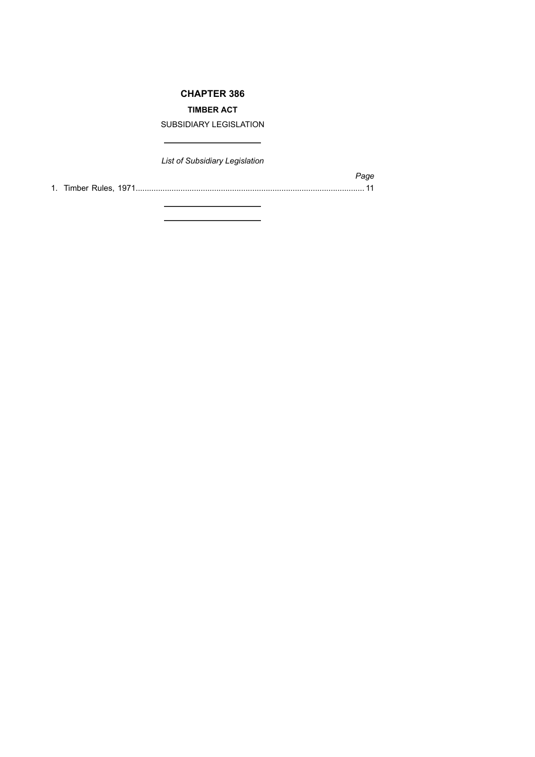## **CHAPTER 386**

## **TIMBER ACT**

SUBSIDIARY LEGISLATION

 $\overline{\phantom{0}}$ 

*List of Subsidiary Legislation*

 $\overline{\phantom{0}}$ 

1. Timber Rules, 1971...................................................................................................... 11

*Page*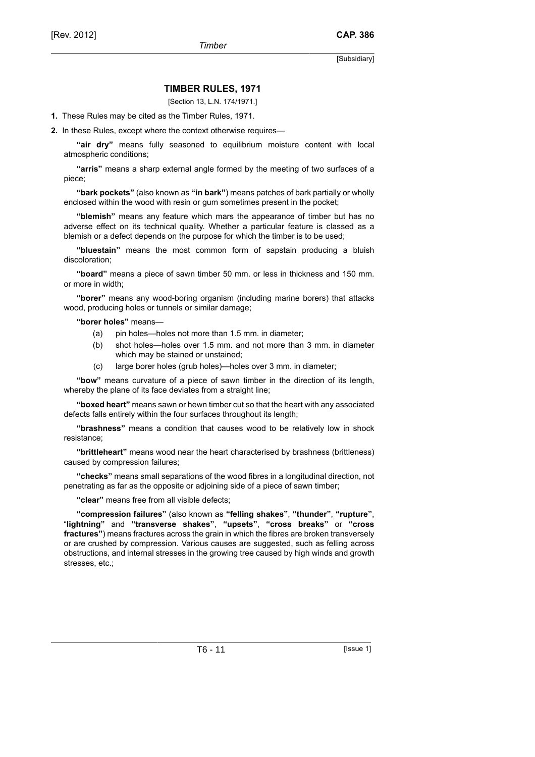### **TIMBER RULES, 1971**

[Section 13, L.N. 174/1971.]

**1.** These Rules may be cited as the Timber Rules, 1971.

**2.** In these Rules, except where the context otherwise requires—

**"air dry"** means fully seasoned to equilibrium moisture content with local atmospheric conditions;

**"arris"** means a sharp external angle formed by the meeting of two surfaces of a piece;

**"bark pockets"** (also known as **"in bark"**) means patches of bark partially or wholly enclosed within the wood with resin or gum sometimes present in the pocket;

**"blemish"** means any feature which mars the appearance of timber but has no adverse effect on its technical quality. Whether a particular feature is classed as a blemish or a defect depends on the purpose for which the timber is to be used;

**"bluestain"** means the most common form of sapstain producing a bluish discoloration;

**"board"** means a piece of sawn timber 50 mm. or less in thickness and 150 mm. or more in width;

**"borer"** means any wood-boring organism (including marine borers) that attacks wood, producing holes or tunnels or similar damage;

**"borer holes"** means—

- (a) pin holes—holes not more than 1.5 mm. in diameter;
- (b) shot holes—holes over 1.5 mm. and not more than 3 mm. in diameter which may be stained or unstained;
- (c) large borer holes (grub holes)—holes over 3 mm. in diameter;

**"bow"** means curvature of a piece of sawn timber in the direction of its length, whereby the plane of its face deviates from a straight line;

**"boxed heart"** means sawn or hewn timber cut so that the heart with any associated defects falls entirely within the four surfaces throughout its length;

**"brashness"** means a condition that causes wood to be relatively low in shock resistance;

**"brittleheart"** means wood near the heart characterised by brashness (brittleness) caused by compression failures;

**"checks"** means small separations of the wood fibres in a longitudinal direction, not penetrating as far as the opposite or adjoining side of a piece of sawn timber;

**"clear"** means free from all visible defects;

**"compression failures"** (also known as **"felling shakes"**, **"thunder"**, **"rupture"**, "**lightning"** and **"transverse shakes"**, **"upsets"**, **"cross breaks"** or **"cross fractures"**) means fractures across the grain in which the fibres are broken transversely or are crushed by compression. Various causes are suggested, such as felling across obstructions, and internal stresses in the growing tree caused by high winds and growth stresses, etc.;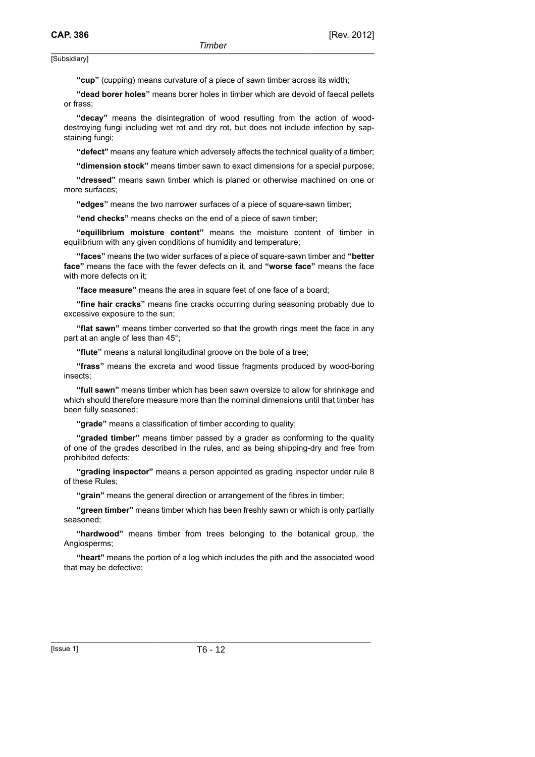**"cup"** (cupping) means curvature of a piece of sawn timber across its width;

**"dead borer holes"** means borer holes in timber which are devoid of faecal pellets or frass;

**"decay"** means the disintegration of wood resulting from the action of wooddestroying fungi including wet rot and dry rot, but does not include infection by sapstaining fungi;

**"defect"** means any feature which adversely affects the technical quality of a timber;

**"dimension stock"** means timber sawn to exact dimensions for a special purpose;

**"dressed"** means sawn timber which is planed or otherwise machined on one or more surfaces;

**"edges"** means the two narrower surfaces of a piece of square-sawn timber;

**"end checks"** means checks on the end of a piece of sawn timber;

**"equilibrium moisture content"** means the moisture content of timber in equilibrium with any given conditions of humidity and temperature;

**"faces"** means the two wider surfaces of a piece of square-sawn timber and **"better face"** means the face with the fewer defects on it, and **"worse face"** means the face with more defects on it:

**"face measure"** means the area in square feet of one face of a board;

**"fine hair cracks"** means fine cracks occurring during seasoning probably due to excessive exposure to the sun;

**"flat sawn"** means timber converted so that the growth rings meet the face in any part at an angle of less than 45°;

**"flute"** means a natural longitudinal groove on the bole of a tree;

**"frass"** means the excreta and wood tissue fragments produced by wood-boring insects;

**"full sawn"** means timber which has been sawn oversize to allow for shrinkage and which should therefore measure more than the nominal dimensions until that timber has been fully seasoned;

**"grade"** means a classification of timber according to quality;

**"graded timber"** means timber passed by a grader as conforming to the quality of one of the grades described in the rules, and as being shipping-dry and free from prohibited defects;

**"grading inspector"** means a person appointed as grading inspector under rule 8 of these Rules;

**"grain"** means the general direction or arrangement of the fibres in timber;

**"green timber"** means timber which has been freshly sawn or which is only partially seasoned;

**"hardwood"** means timber from trees belonging to the botanical group, the Angiosperms;

**"heart"** means the portion of a log which includes the pith and the associated wood that may be defective;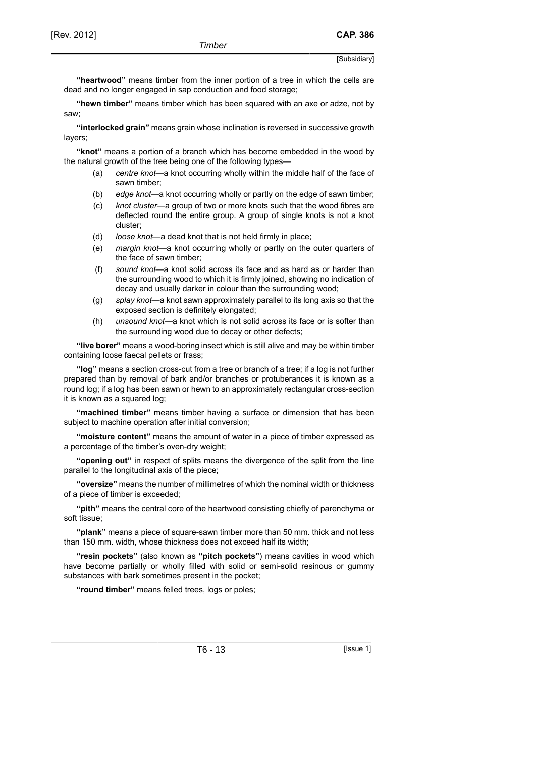**"heartwood"** means timber from the inner portion of a tree in which the cells are dead and no longer engaged in sap conduction and food storage;

**"hewn timber"** means timber which has been squared with an axe or adze, not by saw;

**"interlocked grain"** means grain whose inclination is reversed in successive growth layers;

**"knot"** means a portion of a branch which has become embedded in the wood by the natural growth of the tree being one of the following types—

- (a) *centre knot*—a knot occurring wholly within the middle half of the face of sawn timber;
- (b) *edge knot*—a knot occurring wholly or partly on the edge of sawn timber;
- (c) *knot cluster*—a group of two or more knots such that the wood fibres are deflected round the entire group. A group of single knots is not a knot cluster;
- (d) *loose knot*—a dead knot that is not held firmly in place;
- (e) *margin knot*—a knot occurring wholly or partly on the outer quarters of the face of sawn timber;
- (f) *sound knot*—a knot solid across its face and as hard as or harder than the surrounding wood to which it is firmly joined, showing no indication of decay and usually darker in colour than the surrounding wood;
- (g) *splay knot*—a knot sawn approximately parallel to its long axis so that the exposed section is definitely elongated;
- (h) *unsound knot*—a knot which is not solid across its face or is softer than the surrounding wood due to decay or other defects;

**"live borer"** means a wood-boring insect which is still alive and may be within timber containing loose faecal pellets or frass;

**"log"** means a section cross-cut from a tree or branch of a tree; if a log is not further prepared than by removal of bark and/or branches or protuberances it is known as a round log; if a log has been sawn or hewn to an approximately rectangular cross-section it is known as a squared log;

**"machined timber"** means timber having a surface or dimension that has been subject to machine operation after initial conversion;

**"moisture content"** means the amount of water in a piece of timber expressed as a percentage of the timber's oven-dry weight;

**"opening out"** in respect of splits means the divergence of the split from the line parallel to the longitudinal axis of the piece;

**"oversize"** means the number of millimetres of which the nominal width or thickness of a piece of timber is exceeded;

**"pith"** means the central core of the heartwood consisting chiefly of parenchyma or soft tissue;

**"plank"** means a piece of square-sawn timber more than 50 mm. thick and not less than 150 mm. width, whose thickness does not exceed half its width;

**"resin pockets"** (also known as **"pitch pockets"**) means cavities in wood which have become partially or wholly filled with solid or semi-solid resinous or gummy substances with bark sometimes present in the pocket;

**"round timber"** means felled trees, logs or poles;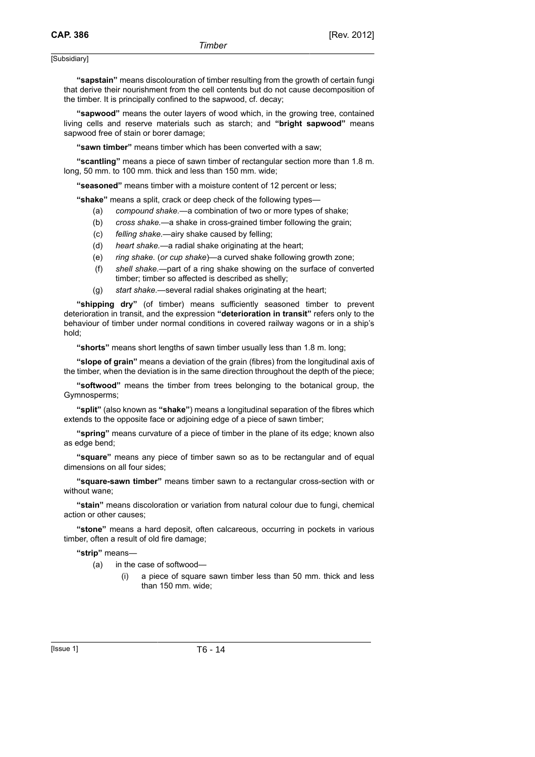**"sapstain"** means discolouration of timber resulting from the growth of certain fungi that derive their nourishment from the cell contents but do not cause decomposition of the timber. It is principally confined to the sapwood, cf. decay;

**"sapwood"** means the outer layers of wood which, in the growing tree, contained living cells and reserve materials such as starch; and **"bright sapwood"** means sapwood free of stain or borer damage;

**"sawn timber"** means timber which has been converted with a saw;

**"scantling"** means a piece of sawn timber of rectangular section more than 1.8 m. long, 50 mm. to 100 mm. thick and less than 150 mm. wide;

**"seasoned"** means timber with a moisture content of 12 percent or less;

**"shake"** means a split, crack or deep check of the following types—

- (a) *compound shake.*—a combination of two or more types of shake;
- (b) *cross shake.*—a shake in cross-grained timber following the grain;
- (c) *felling shake.*—airy shake caused by felling;
- (d) *heart shake.*—a radial shake originating at the heart;
- (e) *ring shake.* (*or cup shake*)—a curved shake following growth zone;
- (f) *shell shake.*—part of a ring shake showing on the surface of converted timber; timber so affected is described as shelly;
- (g) *start shake.*—several radial shakes originating at the heart;

**"shipping dry"** (of timber) means sufficiently seasoned timber to prevent deterioration in transit, and the expression **"deterioration in transit"** refers only to the behaviour of timber under normal conditions in covered railway wagons or in a ship's hold;

**"shorts"** means short lengths of sawn timber usually less than 1.8 m. long;

**"slope of grain"** means a deviation of the grain (fibres) from the longitudinal axis of the timber, when the deviation is in the same direction throughout the depth of the piece;

**"softwood"** means the timber from trees belonging to the botanical group, the Gymnosperms;

**"split"** (also known as **"shake"**) means a longitudinal separation of the fibres which extends to the opposite face or adjoining edge of a piece of sawn timber;

**"spring"** means curvature of a piece of timber in the plane of its edge; known also as edge bend;

**"square"** means any piece of timber sawn so as to be rectangular and of equal dimensions on all four sides;

**"square-sawn timber"** means timber sawn to a rectangular cross-section with or without wane;

**"stain"** means discoloration or variation from natural colour due to fungi, chemical action or other causes;

**"stone"** means a hard deposit, often calcareous, occurring in pockets in various timber, often a result of old fire damage;

#### **"strip"** means—

- (a) in the case of softwood—
	- (i) a piece of square sawn timber less than 50 mm. thick and less than 150 mm. wide;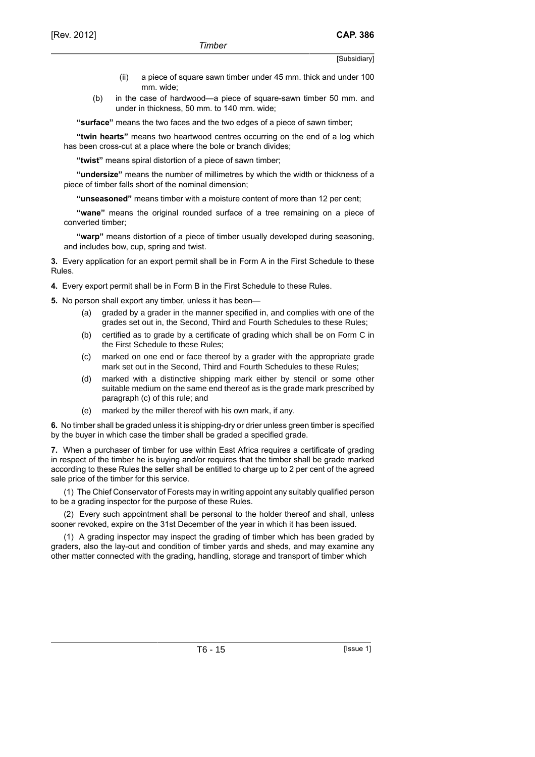- (ii) a piece of square sawn timber under 45 mm. thick and under 100 mm. wide;
- (b) in the case of hardwood—a piece of square-sawn timber 50 mm. and under in thickness, 50 mm. to 140 mm. wide;

**"surface"** means the two faces and the two edges of a piece of sawn timber;

**''twin hearts"** means two heartwood centres occurring on the end of a log which has been cross-cut at a place where the bole or branch divides;

**"twist"** means spiral distortion of a piece of sawn timber;

**"undersize"** means the number of millimetres by which the width or thickness of a piece of timber falls short of the nominal dimension;

**"unseasoned"** means timber with a moisture content of more than 12 per cent;

**"wane"** means the original rounded surface of a tree remaining on a piece of converted timber;

**"warp"** means distortion of a piece of timber usually developed during seasoning, and includes bow, cup, spring and twist.

**3.** Every application for an export permit shall be in Form A in the First Schedule to these Rules.

**4.** Every export permit shall be in Form B in the First Schedule to these Rules.

**5.** No person shall export any timber, unless it has been—

- (a) graded by a grader in the manner specified in, and complies with one of the grades set out in, the Second, Third and Fourth Schedules to these Rules;
- (b) certified as to grade by a certificate of grading which shall be on Form C in the First Schedule to these Rules;
- (c) marked on one end or face thereof by a grader with the appropriate grade mark set out in the Second, Third and Fourth Schedules to these Rules;
- (d) marked with a distinctive shipping mark either by stencil or some other suitable medium on the same end thereof as is the grade mark prescribed by paragraph (c) of this rule; and
- (e) marked by the miller thereof with his own mark, if any.

**6.** No timber shall be graded unless it is shipping-dry or drier unless green timber is specified by the buyer in which case the timber shall be graded a specified grade.

**7.** When a purchaser of timber for use within East Africa requires a certificate of grading in respect of the timber he is buying and/or requires that the timber shall be grade marked according to these Rules the seller shall be entitled to charge up to 2 per cent of the agreed sale price of the timber for this service.

(1) The Chief Conservator of Forests may in writing appoint any suitably qualified person to be a grading inspector for the purpose of these Rules.

(2) Every such appointment shall be personal to the holder thereof and shall, unless sooner revoked, expire on the 31st December of the year in which it has been issued.

(1) A grading inspector may inspect the grading of timber which has been graded by graders, also the lay-out and condition of timber yards and sheds, and may examine any other matter connected with the grading, handling, storage and transport of timber which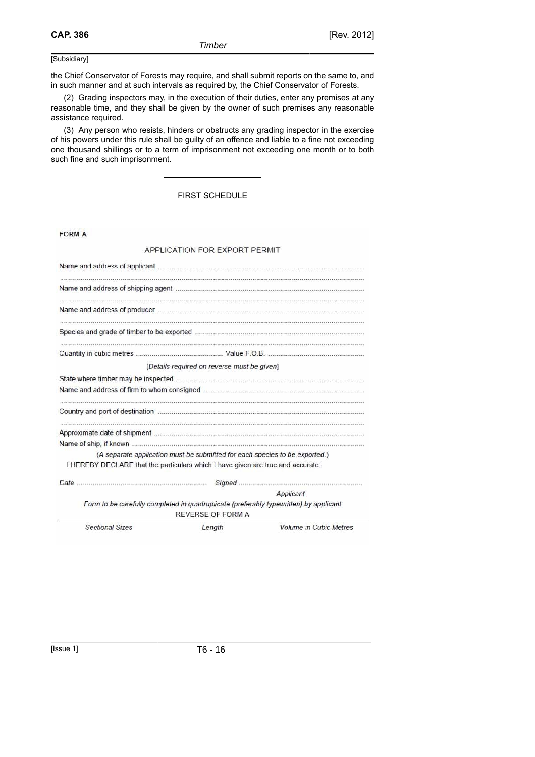the Chief Conservator of Forests may require, and shall submit reports on the same to, and in such manner and at such intervals as required by, the Chief Conservator of Forests.

(2) Grading inspectors may, in the execution of their duties, enter any premises at any reasonable time, and they shall be given by the owner of such premises any reasonable assistance required.

(3) Any person who resists, hinders or obstructs any grading inspector in the exercise of his powers under this rule shall be guilty of an offence and liable to a fine not exceeding one thousand shillings or to a term of imprisonment not exceeding one month or to both such fine and such imprisonment.

FIRST SCHEDULE

FORM A

### APPLICATION FOR EXPORT PERMIT

|                                                                                 | [Details required on reverse must be given] |                                                                                       |
|---------------------------------------------------------------------------------|---------------------------------------------|---------------------------------------------------------------------------------------|
|                                                                                 |                                             |                                                                                       |
|                                                                                 |                                             |                                                                                       |
|                                                                                 |                                             |                                                                                       |
|                                                                                 |                                             |                                                                                       |
|                                                                                 |                                             |                                                                                       |
|                                                                                 |                                             | (A separate application must be submitted for each species to be exported.)           |
| I HEREBY DECLARE that the particulars which I have given are true and accurate. |                                             |                                                                                       |
|                                                                                 |                                             |                                                                                       |
|                                                                                 |                                             | Applicant                                                                             |
|                                                                                 | <b>REVERSE OF FORM A</b>                    | Form to be carefully completed in quadruplicate (preferably typewritten) by applicant |
| <b>Sectional Sizes</b>                                                          | Length                                      | <b>Volume in Cubic Metres</b>                                                         |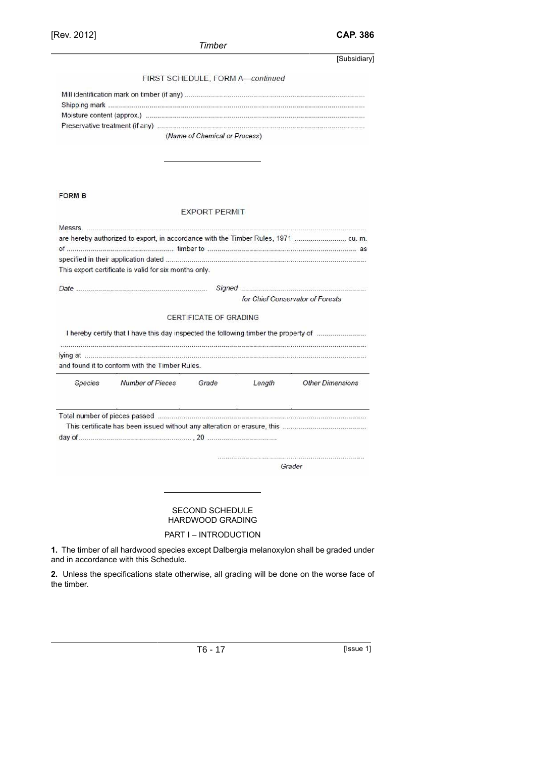[Rev. 2012] **CAP. 386**

# *Timber*

 $\overline{\mathsf{y}}$ 

|               |                                                                                      |                                                   |                                  | [Subsidiary]                     |
|---------------|--------------------------------------------------------------------------------------|---------------------------------------------------|----------------------------------|----------------------------------|
|               |                                                                                      |                                                   | FIRST SCHEDULE, FORM A-continued |                                  |
|               |                                                                                      |                                                   |                                  |                                  |
|               |                                                                                      |                                                   |                                  |                                  |
|               |                                                                                      |                                                   |                                  |                                  |
|               |                                                                                      |                                                   |                                  |                                  |
|               |                                                                                      | (Name of Chemical or Process)                     |                                  |                                  |
|               |                                                                                      |                                                   |                                  |                                  |
| <b>FORM B</b> |                                                                                      |                                                   |                                  |                                  |
|               |                                                                                      | <b>EXPORT PERMIT</b>                              |                                  |                                  |
|               |                                                                                      |                                                   |                                  |                                  |
|               |                                                                                      |                                                   |                                  |                                  |
|               |                                                                                      |                                                   |                                  |                                  |
|               |                                                                                      |                                                   |                                  |                                  |
|               | This export certificate is valid for six months only.                                |                                                   |                                  |                                  |
|               |                                                                                      |                                                   |                                  |                                  |
|               |                                                                                      |                                                   |                                  | for Chief Conservator of Forests |
|               | I hereby certify that I have this day inspected the following timber the property of |                                                   |                                  |                                  |
|               |                                                                                      |                                                   |                                  |                                  |
|               | and found it to conform with the Timber Rules.                                       |                                                   |                                  |                                  |
| Species       | <b>Number of Pieces</b>                                                              | Grade                                             | Length                           | <b>Other Dimensions</b>          |
|               |                                                                                      |                                                   |                                  |                                  |
|               |                                                                                      |                                                   |                                  |                                  |
|               |                                                                                      |                                                   |                                  |                                  |
|               |                                                                                      |                                                   |                                  |                                  |
|               |                                                                                      |                                                   |                                  | Grader                           |
|               |                                                                                      |                                                   |                                  |                                  |
|               |                                                                                      | <b>SECOND SCHEDULE</b><br><b>HARDWOOD GRADING</b> |                                  |                                  |
|               |                                                                                      | PART I - INTRODUCTION                             |                                  |                                  |

**2.** Unless the specifications state otherwise, all grading will be done on the worse face of the timber.

T6 - 17 [Issue 1]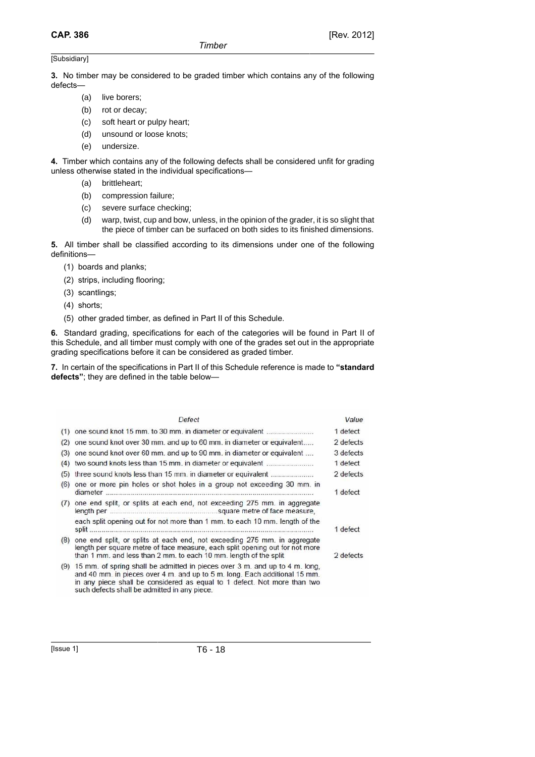**3.** No timber may be considered to be graded timber which contains any of the following defects—

- (a) live borers;
- (b) rot or decay;
- (c) soft heart or pulpy heart;
- (d) unsound or loose knots;
- (e) undersize.

**4.** Timber which contains any of the following defects shall be considered unfit for grading unless otherwise stated in the individual specifications—

- (a) brittleheart;
- (b) compression failure;
- (c) severe surface checking;
- (d) warp, twist, cup and bow, unless, in the opinion of the grader, it is so slight that the piece of timber can be surfaced on both sides to its finished dimensions.

**5.** All timber shall be classified according to its dimensions under one of the following definitions—

- (1) boards and planks;
- (2) strips, including flooring;
- (3) scantlings;
- (4) shorts;
- (5) other graded timber, as defined in Part II of this Schedule.

**6.** Standard grading, specifications for each of the categories will be found in Part II of this Schedule, and all timber must comply with one of the grades set out in the appropriate grading specifications before it can be considered as graded timber.

**7.** In certain of the specifications in Part II of this Schedule reference is made to **"standard defects"**; they are defined in the table below—

|     | Defect                                                                                                                                                                                                                                                                                | Value     |
|-----|---------------------------------------------------------------------------------------------------------------------------------------------------------------------------------------------------------------------------------------------------------------------------------------|-----------|
| (1) |                                                                                                                                                                                                                                                                                       | 1 defect  |
| (2) | one sound knot over 30 mm. and up to 60 mm. in diameter or equivalent                                                                                                                                                                                                                 | 2 defects |
| (3) | one sound knot over 60 mm, and up to 90 mm, in diameter or equivalent                                                                                                                                                                                                                 | 3 defects |
| (4) | two sound knots less than 15 mm, in diameter or equivalent                                                                                                                                                                                                                            | 1 defect  |
| (5) | three sound knots less than 15 mm, in diameter or equivalent                                                                                                                                                                                                                          | 2 defects |
| (6) | one or more pin holes or shot holes in a group not exceeding 30 mm, in                                                                                                                                                                                                                | 1 defect  |
| (7) | one end split, or splits at each end, not exceeding 275 mm. in aggregate                                                                                                                                                                                                              |           |
|     | each split opening out for not more than 1 mm, to each 10 mm, length of the                                                                                                                                                                                                           | 1 defect  |
| (8) | one end split, or splits at each end, not exceeding 275 mm, in aggregate<br>length per square metre of face measure, each split opening out for not more<br>than 1 mm, and less than 2 mm, to each 10 mm, length of the split                                                         | 2 defects |
| (9) | 15 mm, of spring shall be admitted in pieces over 3 m, and up to 4 m, long.<br>and 40 mm. in pieces over 4 m. and up to 5 m. long. Each additional 15 mm.<br>in any piece shall be considered as equal to 1 defect. Not more than two<br>such defects shall be admitted in any piece. |           |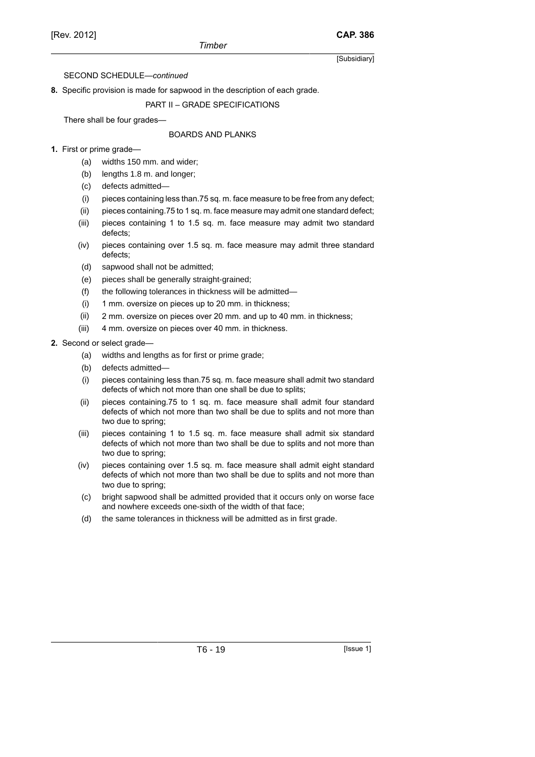**8.** Specific provision is made for sapwood in the description of each grade.

PART II – GRADE SPECIFICATIONS

There shall be four grades—

## BOARDS AND PLANKS

- **1.** First or prime grade—
	- (a) widths 150 mm. and wider;
	- (b) lengths 1.8 m. and longer;
	- (c) defects admitted—
	- (i) pieces containing less than.75 sq. m. face measure to be free from any defect;
	- (ii) pieces containing.75 to 1 sq. m. face measure may admit one standard defect;
	- (iii) pieces containing 1 to 1.5 sq. m. face measure may admit two standard defects;
	- (iv) pieces containing over 1.5 sq. m. face measure may admit three standard defects;
	- (d) sapwood shall not be admitted;
	- (e) pieces shall be generally straight-grained;
	- (f) the following tolerances in thickness will be admitted—
	- (i) 1 mm. oversize on pieces up to 20 mm. in thickness;
	- (ii) 2 mm. oversize on pieces over 20 mm. and up to 40 mm. in thickness;
	- (iii) 4 mm. oversize on pieces over 40 mm. in thickness.
- **2.** Second or select grade—
	- (a) widths and lengths as for first or prime grade;
	- (b) defects admitted—
	- (i) pieces containing less than.75 sq. m. face measure shall admit two standard defects of which not more than one shall be due to splits;
	- (ii) pieces containing.75 to 1 sq. m. face measure shall admit four standard defects of which not more than two shall be due to splits and not more than two due to spring;
	- (iii) pieces containing 1 to 1.5 sq. m. face measure shall admit six standard defects of which not more than two shall be due to splits and not more than two due to spring;
	- (iv) pieces containing over 1.5 sq. m. face measure shall admit eight standard defects of which not more than two shall be due to splits and not more than two due to spring;
	- (c) bright sapwood shall be admitted provided that it occurs only on worse face and nowhere exceeds one-sixth of the width of that face;
	- (d) the same tolerances in thickness will be admitted as in first grade.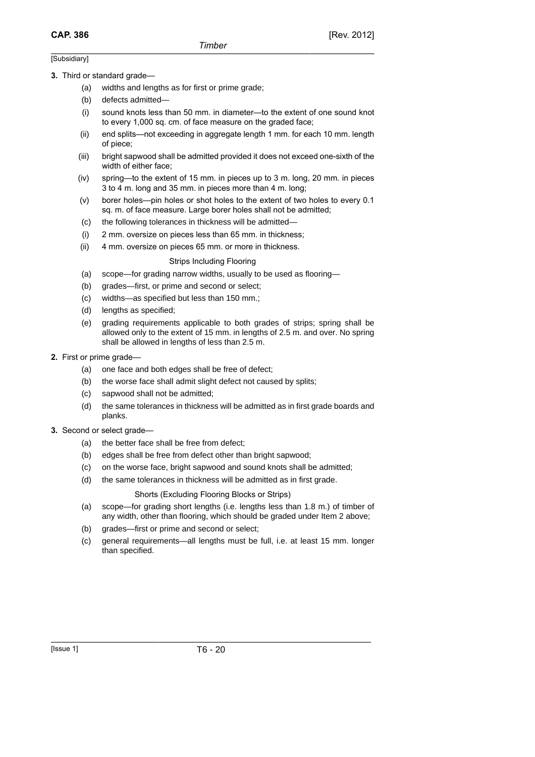#### **3.** Third or standard grade—

- (a) widths and lengths as for first or prime grade;
- (b) defects admitted—
- (i) sound knots less than 50 mm. in diameter—to the extent of one sound knot to every 1,000 sq. cm. of face measure on the graded face;
- (ii) end splits—not exceeding in aggregate length 1 mm. for each 10 mm. length of piece;
- (iii) bright sapwood shall be admitted provided it does not exceed one-sixth of the width of either face;
- (iv) spring—to the extent of 15 mm. in pieces up to 3 m. long, 20 mm. in pieces 3 to 4 m. long and 35 mm. in pieces more than 4 m. long;
- (v) borer holes—pin holes or shot holes to the extent of two holes to every 0.1 sq. m. of face measure. Large borer holes shall not be admitted;
- (c) the following tolerances in thickness will be admitted—
- (i) 2 mm. oversize on pieces less than 65 mm. in thickness;
- (ii) 4 mm. oversize on pieces 65 mm. or more in thickness.

#### Strips Including Flooring

- (a) scope—for grading narrow widths, usually to be used as flooring—
- (b) grades—first, or prime and second or select;
- (c) widths—as specified but less than 150 mm.;
- (d) lengths as specified;
- (e) grading requirements applicable to both grades of strips; spring shall be allowed only to the extent of 15 mm. in lengths of 2.5 m. and over. No spring shall be allowed in lengths of less than 2.5 m.
- **2.** First or prime grade—
	- (a) one face and both edges shall be free of defect;
	- (b) the worse face shall admit slight defect not caused by splits;
	- (c) sapwood shall not be admitted;
	- (d) the same tolerances in thickness will be admitted as in first grade boards and planks.
- **3.** Second or select grade—
	- (a) the better face shall be free from defect;
	- (b) edges shall be free from defect other than bright sapwood;
	- (c) on the worse face, bright sapwood and sound knots shall be admitted;
	- (d) the same tolerances in thickness will be admitted as in first grade.

#### Shorts (Excluding Flooring Blocks or Strips)

- (a) scope—for grading short lengths (i.e. lengths less than 1.8 m.) of timber of any width, other than flooring, which should be graded under Item 2 above;
- (b) grades—first or prime and second or select;
- (c) general requirements—all lengths must be full, i.e. at least 15 mm. longer than specified.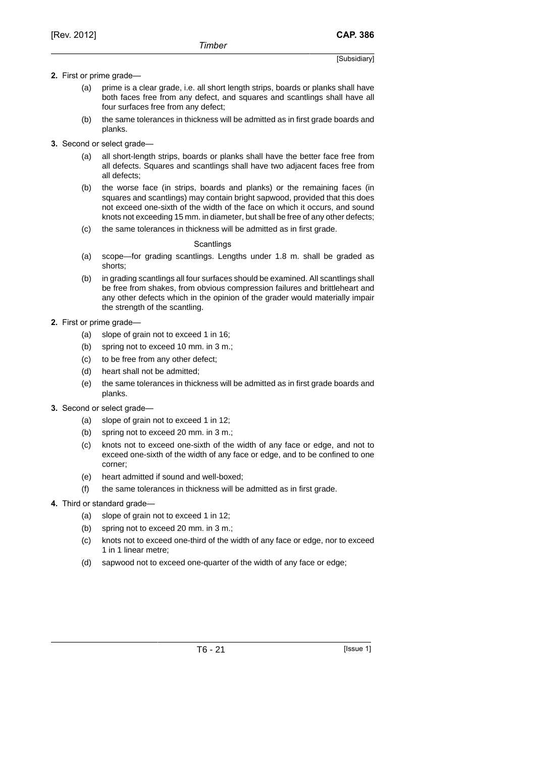## **2.** First or prime grade—

- (a) prime is a clear grade, i.e. all short length strips, boards or planks shall have both faces free from any defect, and squares and scantlings shall have all four surfaces free from any defect;
- (b) the same tolerances in thickness will be admitted as in first grade boards and planks.
- **3.** Second or select grade—
	- (a) all short-length strips, boards or planks shall have the better face free from all defects. Squares and scantlings shall have two adjacent faces free from all defects;
	- (b) the worse face (in strips, boards and planks) or the remaining faces (in squares and scantlings) may contain bright sapwood, provided that this does not exceed one-sixth of the width of the face on which it occurs, and sound knots not exceeding 15 mm. in diameter, but shall be free of any other defects;
	- (c) the same tolerances in thickness will be admitted as in first grade.

### **Scantlings**

- (a) scope—for grading scantlings. Lengths under 1.8 m. shall be graded as shorts;
- (b) in grading scantlings all four surfaces should be examined. All scantlings shall be free from shakes, from obvious compression failures and brittleheart and any other defects which in the opinion of the grader would materially impair the strength of the scantling.
- **2.** First or prime grade—
	- (a) slope of grain not to exceed 1 in 16;
	- (b) spring not to exceed 10 mm. in 3 m.;
	- (c) to be free from any other defect;
	- (d) heart shall not be admitted;
	- (e) the same tolerances in thickness will be admitted as in first grade boards and planks.
- **3.** Second or select grade—
	- (a) slope of grain not to exceed 1 in 12;
	- (b) spring not to exceed 20 mm. in 3 m.;
	- (c) knots not to exceed one-sixth of the width of any face or edge, and not to exceed one-sixth of the width of any face or edge, and to be confined to one corner;
	- (e) heart admitted if sound and well-boxed;
	- (f) the same tolerances in thickness will be admitted as in first grade.
- **4.** Third or standard grade—
	- (a) slope of grain not to exceed 1 in 12;
	- (b) spring not to exceed 20 mm. in 3 m.;
	- (c) knots not to exceed one-third of the width of any face or edge, nor to exceed 1 in 1 linear metre;
	- (d) sapwood not to exceed one-quarter of the width of any face or edge;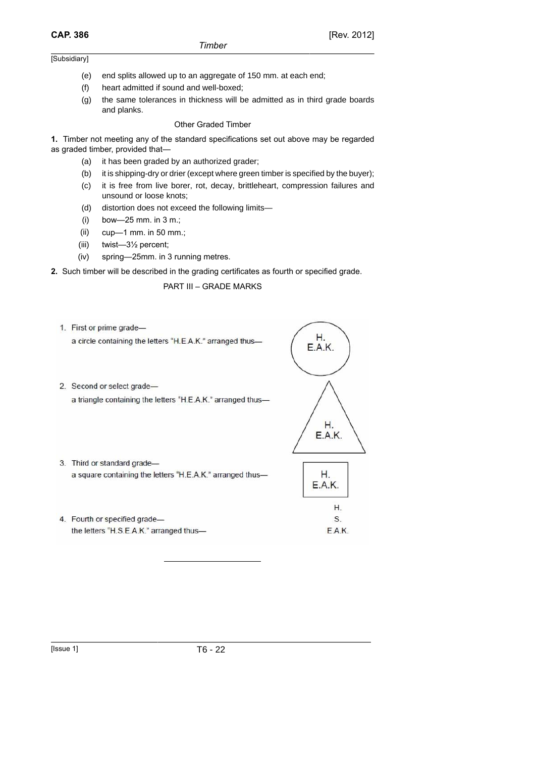- (e) end splits allowed up to an aggregate of 150 mm. at each end;
- (f) heart admitted if sound and well-boxed;
- (g) the same tolerances in thickness will be admitted as in third grade boards and planks.

#### Other Graded Timber

**1.** Timber not meeting any of the standard specifications set out above may be regarded as graded timber, provided that—

- (a) it has been graded by an authorized grader;
- (b) it is shipping-dry or drier (except where green timber is specified by the buyer);
- (c) it is free from live borer, rot, decay, brittleheart, compression failures and unsound or loose knots;
- (d) distortion does not exceed the following limits—
- (i) bow—25 mm. in 3 m.;
- (ii) cup—1 mm. in 50 mm.;
- (iii) twist—3½ percent;
- (iv) spring—25mm. in 3 running metres.
- **2.** Such timber will be described in the grading certificates as fourth or specified grade.

PART III – GRADE MARKS

1. First or prime grade-

a circle containing the letters "H.E.A.K." arranged thus-

2. Second or select gradea triangle containing the letters "H.E.A.K." arranged thus-



Н. **E.A.K.** 

> Η. S.

E.A.K.

- 3. Third or standard gradea square containing the letters "H.E.A.K." arranged thus-
- 4. Fourth or specified gradethe letters "H.S.E.A.K." arranged thus-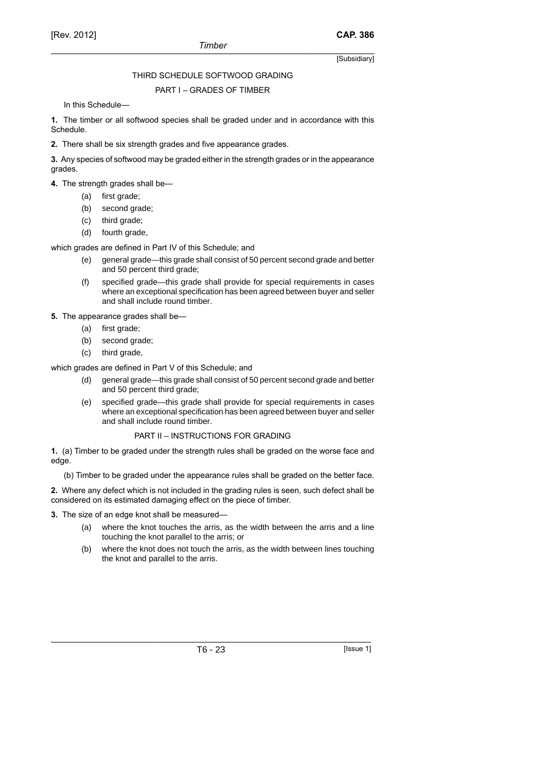## THIRD SCHEDULE SOFTWOOD GRADING

### PART I – GRADES OF TIMBER

In this Schedule—

**1.** The timber or all softwood species shall be graded under and in accordance with this Schedule.

**2.** There shall be six strength grades and five appearance grades.

**3.** Any species of softwood may be graded either in the strength grades or in the appearance grades.

**4.** The strength grades shall be—

- (a) first grade;
- (b) second grade;
- (c) third grade;
- (d) fourth grade,

which grades are defined in Part IV of this Schedule; and

- (e) general grade—this grade shall consist of 50 percent second grade and better and 50 percent third grade;
- (f) specified grade—this grade shall provide for special requirements in cases where an exceptional specification has been agreed between buyer and seller and shall include round timber.

**5.** The appearance grades shall be—

- (a) first grade;
- (b) second grade;
- (c) third grade,

which grades are defined in Part V of this Schedule; and

- (d) general grade—this grade shall consist of 50 percent second grade and better and 50 percent third grade;
- (e) specified grade—this grade shall provide for special requirements in cases where an exceptional specification has been agreed between buyer and seller and shall include round timber.

## PART II – INSTRUCTIONS FOR GRADING

**1.** (a) Timber to be graded under the strength rules shall be graded on the worse face and edge.

(b) Timber to be graded under the appearance rules shall be graded on the better face.

**2.** Where any defect which is not included in the grading rules is seen, such defect shall be considered on its estimated damaging effect on the piece of timber.

**3.** The size of an edge knot shall be measured—

- (a) where the knot touches the arris, as the width between the arris and a line touching the knot parallel to the arris; or
- (b) where the knot does not touch the arris, as the width between lines touching the knot and parallel to the arris.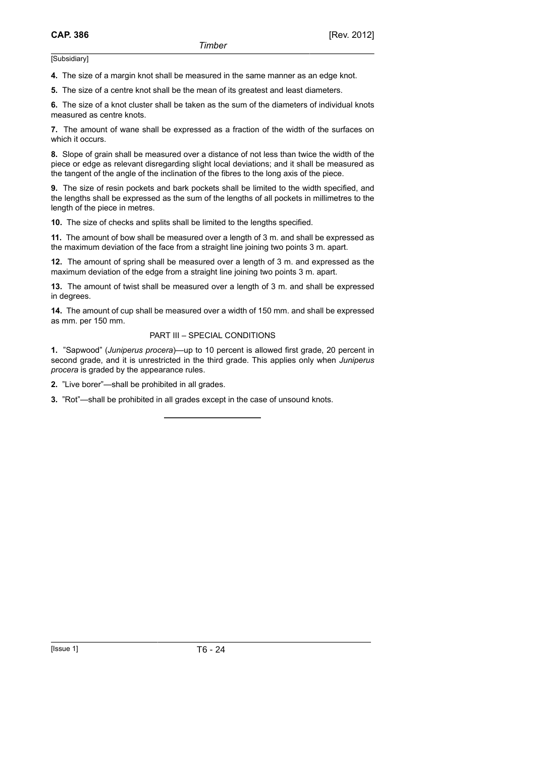**4.** The size of a margin knot shall be measured in the same manner as an edge knot.

**5.** The size of a centre knot shall be the mean of its greatest and least diameters.

**6.** The size of a knot cluster shall be taken as the sum of the diameters of individual knots measured as centre knots.

**7.** The amount of wane shall be expressed as a fraction of the width of the surfaces on which it occurs.

**8.** Slope of grain shall be measured over a distance of not less than twice the width of the piece or edge as relevant disregarding slight local deviations; and it shall be measured as the tangent of the angle of the inclination of the fibres to the long axis of the piece.

**9.** The size of resin pockets and bark pockets shall be limited to the width specified, and the lengths shall be expressed as the sum of the lengths of all pockets in millimetres to the length of the piece in metres.

**10.** The size of checks and splits shall be limited to the lengths specified.

**11.** The amount of bow shall be measured over a length of 3 m. and shall be expressed as the maximum deviation of the face from a straight line joining two points 3 m. apart.

**12.** The amount of spring shall be measured over a length of 3 m. and expressed as the maximum deviation of the edge from a straight line joining two points 3 m. apart.

**13.** The amount of twist shall be measured over a length of 3 m. and shall be expressed in degrees.

**14.** The amount of cup shall be measured over a width of 150 mm. and shall be expressed as mm. per 150 mm.

#### PART III – SPECIAL CONDITIONS

**1.** "Sapwood" (*Juniperus procera*)—up to 10 percent is allowed first grade, 20 percent in second grade, and it is unrestricted in the third grade. This applies only when *Juniperus procera* is graded by the appearance rules.

**2.** "Live borer"—shall be prohibited in all grades.

**3.** "Rot"—shall be prohibited in all grades except in the case of unsound knots.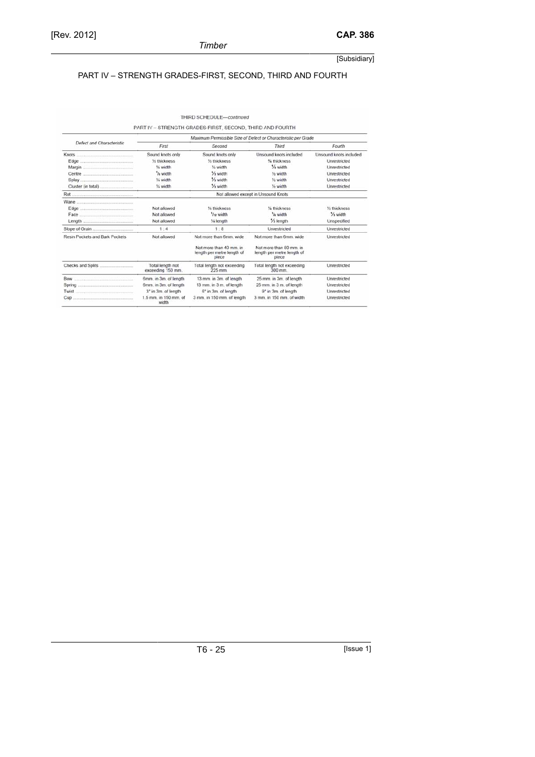## PART IV – STRENGTH GRADES-FIRST, SECOND, THIRD AND FOURTH

|                                                  |                                                                                                                             | THIRD SCHEDULE-continued                                      |                                                                |                           |
|--------------------------------------------------|-----------------------------------------------------------------------------------------------------------------------------|---------------------------------------------------------------|----------------------------------------------------------------|---------------------------|
|                                                  | PART IV - STRENGTH GRADES-FIRST, SECOND, THIRD AND FOURTH<br>Maximum Permissible Size of Defect or Characteristic per Grade |                                                               |                                                                |                           |
| Defect and Characteristic                        | First                                                                                                                       | Second                                                        | <b>Third</b>                                                   | Fourth                    |
|                                                  | Sound knots only                                                                                                            | Sound knots only                                              | Unsound knots included                                         | Unsound knots included    |
|                                                  | 1/2 thickness                                                                                                               | 16 thickness                                                  | % thickness                                                    | Unrestricted              |
|                                                  | 1/ <sub>8</sub> width                                                                                                       | V <sub>4</sub> width                                          | 1/ <sub>3</sub> width                                          | Unrestricted              |
|                                                  | '/e width                                                                                                                   | 1/ <sub>2</sub> width                                         | 1/ <sub>5</sub> width                                          | Unrestricted              |
|                                                  | 1/4 width                                                                                                                   | 1/ <sub>2</sub> width                                         | 1/ <sub>2</sub> width                                          | Unrestricted              |
|                                                  | 1/4 width                                                                                                                   | 1/ <sub>3</sub> width                                         | 1/ <sub>2</sub> width                                          | Unrestricted              |
|                                                  |                                                                                                                             |                                                               | Not allowed except in Unsound Knots                            |                           |
|                                                  |                                                                                                                             |                                                               |                                                                |                           |
|                                                  | Not allowed                                                                                                                 | 16 thickness                                                  | 1/4 thickness                                                  | 1/ <sub>5</sub> thickness |
|                                                  | Not allowed                                                                                                                 | '/ <sub>12</sub> width                                        | 1/4 width                                                      | 1/ <sub>3</sub> width     |
|                                                  | Not allowed                                                                                                                 | 1/4 length                                                    | 1/ <sub>3</sub> length                                         | Unspecified               |
| Slope of Grain                                   | 1:4                                                                                                                         | 1:8                                                           | Unrestricted                                                   | Unrestricted              |
| <b>Resin Pockets and Bark Pockets</b>            | Not allowed                                                                                                                 | Not more than 6mm, wide                                       | Not more than 6mm, wide                                        | Unrestricted              |
|                                                  |                                                                                                                             | Not more than 40 mm in<br>length per metre length of<br>piece | Not more than 80 mm. in<br>length per metre length of<br>piece |                           |
|                                                  | Total length not<br>exceeding 150 mm.                                                                                       | Total length not exceeding<br>225 mm                          | Total length not exceeding<br>300 mm                           | Unrestricted              |
| Bow                                              | 6mm. in 3m. of length                                                                                                       | 13 mm, in 3m, of length                                       | 25 mm. in 3m. of length                                        | Unrestricted              |
|                                                  | 6mm. in 3m. of length                                                                                                       | 13 mm. in 3 m. of length                                      | 25 mm. in 3 m. of length                                       | Unrestricted              |
| Twist<br>Andrews March 2002 (Andrews March 2003) | 3 <sup>e</sup> in 3m. of length                                                                                             | 6° in 3m. of length                                           | 9° in 3m. of length                                            | Unrestricted              |
| Cup                                              | 1.5 mm. in 150 mm. of<br>width                                                                                              | 3 mm. in 150 mm. of length                                    | 3 mm. in 150 mm. of width                                      | Unrestricted              |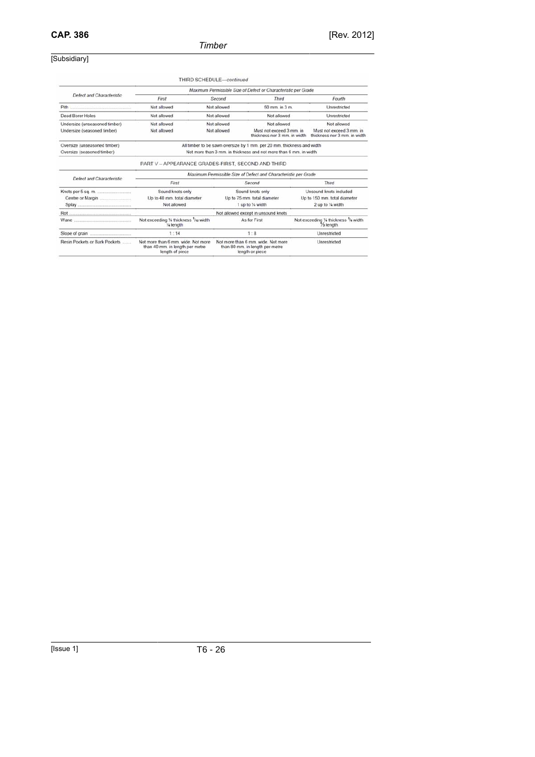## *Timber*

## [Subsidiary]

|                                                              |                                                                                                                                             | THIRD SCHEDULE-continued                                                                 |                                                                         |                                                                             |  |
|--------------------------------------------------------------|---------------------------------------------------------------------------------------------------------------------------------------------|------------------------------------------------------------------------------------------|-------------------------------------------------------------------------|-----------------------------------------------------------------------------|--|
|                                                              | Maximum Permissible Size of Defect or Characteristic per Grade                                                                              |                                                                                          |                                                                         |                                                                             |  |
| Defect and Characteristic                                    | First                                                                                                                                       | Second                                                                                   | <b>Third</b>                                                            | Fourth                                                                      |  |
| Pith <b>Manual</b>                                           | Not allowed                                                                                                                                 | Not allowed                                                                              | 50 mm. in 3 m.                                                          | Unrestricted                                                                |  |
| <b>Dead Borer Holes</b>                                      | Not allowed                                                                                                                                 | Not allowed                                                                              | Not allowed                                                             | Unrestricted                                                                |  |
| Undersize (unseasoned timber)<br>Undersize (seasoned timber) | Not allowed<br>Not allowed                                                                                                                  | Not allowed<br>Not allowed                                                               | Not allowed<br>Must not exceed 3 mm, in<br>thickness nor 3 mm, in width | Not allowed<br>Must not exceed 3 mm. in<br>thickness nor 3 mm, in width     |  |
| Oversize (unseasoned timber)<br>Oversize (seasoned timber)   | All timber to be sawn oversize by 1 mm. per 20 mm. thickness and width<br>Not more than 3 mm, in thickness and not more than 6 mm, in width |                                                                                          |                                                                         |                                                                             |  |
|                                                              | PART V - APPEARANCE GRADES-FIRST, SECOND AND THIRD                                                                                          |                                                                                          |                                                                         |                                                                             |  |
| Defect and Characteristic                                    | Maximum Permissible Size of Defect and Characteristic per Grade                                                                             |                                                                                          |                                                                         |                                                                             |  |
|                                                              | First                                                                                                                                       | Second                                                                                   |                                                                         | <b>Third</b>                                                                |  |
|                                                              | Sound knots only<br>Up to 40 mm, total diameter<br>Not allowed                                                                              | Sound knots only<br>Up to 75 mm, total diameter<br>1 up to 1/4 width                     |                                                                         | Unsound knots included<br>Up to 150 mm, total diameter<br>2 up to 1/4 width |  |
|                                                              | Not allowed except in unsound knots                                                                                                         |                                                                                          |                                                                         |                                                                             |  |
|                                                              | Not exceeding 1/4 thickness '/a width<br>1/4 length                                                                                         | As for First                                                                             |                                                                         | Not exceeding 1/4 thickness 1/4 width<br>$\frac{1}{2}$ length               |  |
|                                                              | 1:14                                                                                                                                        | 1:8                                                                                      |                                                                         | Unrestricted                                                                |  |
| Resin Pockets or Bark Pockets                                | Not more than 6 mm, wide, Not more<br>than 40 mm, in length per metre<br>length of piece                                                    | Not more than 6 mm, wide. Not more<br>than 80 mm. in length per metre<br>length or piece |                                                                         | Unrestricted                                                                |  |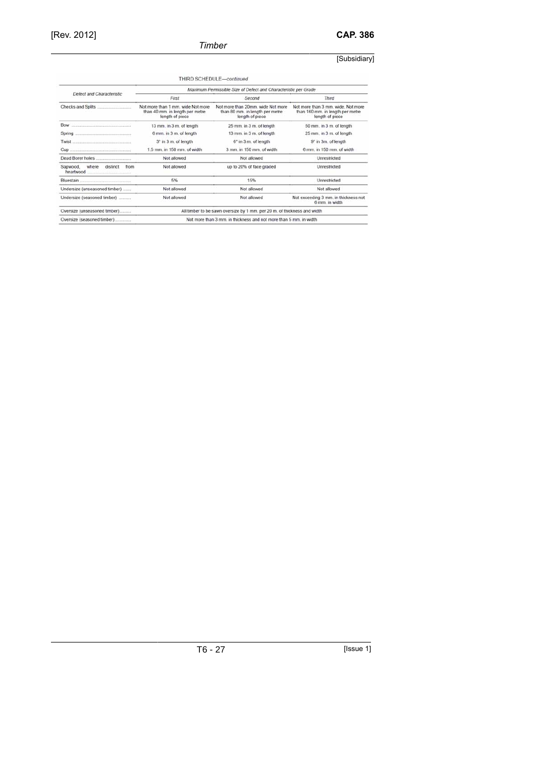## *Timber*

## [Subsidiary]

|                                                        |                                                                                         | THIRD SCHEDULE-continued                                                                |                                                                                           |  |
|--------------------------------------------------------|-----------------------------------------------------------------------------------------|-----------------------------------------------------------------------------------------|-------------------------------------------------------------------------------------------|--|
|                                                        | Maximum Permissible Size of Defect and Characteristic per Grade                         |                                                                                         |                                                                                           |  |
| Defect and Characteristic                              | First                                                                                   | Second                                                                                  | Third                                                                                     |  |
|                                                        | Not more than 1 mm, wide Not more<br>than 40 mm. in length per metre<br>length of piece | Not more than 20mm, wide Not more<br>than 80 mm. in length per metre<br>length of piece | Not more than 3 mm, wide, Not more<br>than 160 mm. in length per metre<br>length of piece |  |
| Bow                                                    | 13 mm, in 3 m, of length                                                                | 25 mm, in 3 m, of length                                                                | 50 mm, in 3 m, of length                                                                  |  |
| Spring                                                 | 6 mm. in 3 m. of length                                                                 | 13 mm, in 3 m, of length                                                                | 25 mm. in 3 m. of length                                                                  |  |
|                                                        | 3 <sup>*</sup> in 3 m. of length                                                        | 6 <sup>*</sup> in 3 m. of length                                                        | 9° in 3m. of length                                                                       |  |
|                                                        | 1.5 mm. in 150 mm. of width.                                                            | 3 mm. in 150 mm. of width                                                               | 6 mm. in 150 mm. of width                                                                 |  |
|                                                        | Not allowed                                                                             | Not allowed                                                                             | Unrestricted                                                                              |  |
| Sapwood,<br>where<br>distinct<br>from<br>heartwood<br> | Not allowed                                                                             | up to 20% of face graded                                                                | Unrestricted                                                                              |  |
|                                                        | 5%                                                                                      | 15%                                                                                     | Unrestricted                                                                              |  |
| Undersize (unseasoned timber)                          | Not allowed                                                                             | Not allowed                                                                             | Not allowed                                                                               |  |
| Undersize (seasoned timber)                            | Not allowed                                                                             | Not allowed                                                                             | Not exceeding 3 mm. in thickness not<br>6 mm in width                                     |  |
| Oversize (unseasoned timber)                           | All timber to be sawn oversize by 1 mm. per 20 m. of thickness and width                |                                                                                         |                                                                                           |  |
| Oversize (seasoned timber)                             | Not more than 3 mm, in thickness and not more than 5 mm, in width                       |                                                                                         |                                                                                           |  |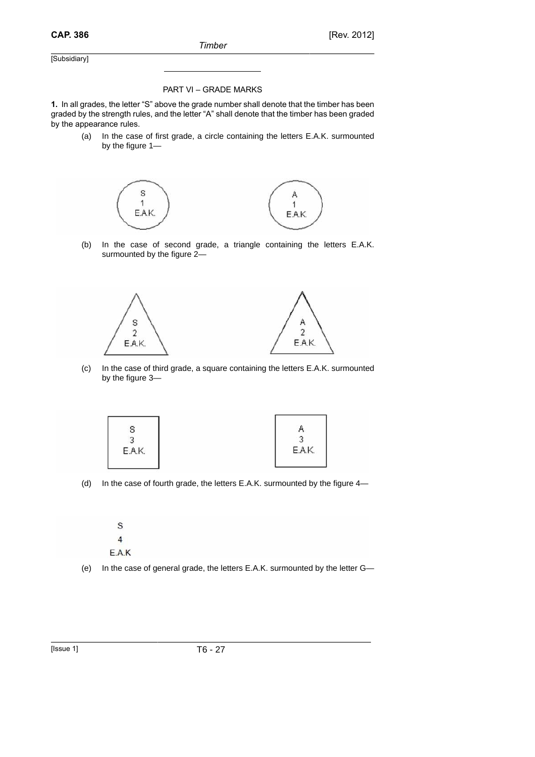### PART VI – GRADE MARKS

**1.** In all grades, the letter "S" above the grade number shall denote that the timber has been graded by the strength rules, and the letter "A" shall denote that the timber has been graded by the appearance rules.

(a) In the case of first grade, a circle containing the letters E.A.K. surmounted by the figure 1—



(b) In the case of second grade, a triangle containing the letters E.A.K. surmounted by the figure 2—



(c) In the case of third grade, a square containing the letters E.A.K. surmounted by the figure 3—



(d) In the case of fourth grade, the letters E.A.K. surmounted by the figure 4—

S  $\overline{4}$ E.A.K

(e) In the case of general grade, the letters E.A.K. surmounted by the letter G—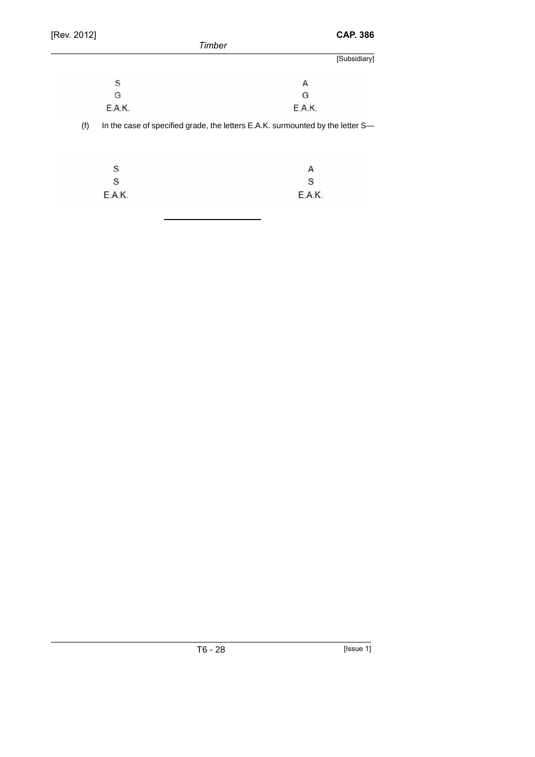| [Rev. 2012] | <b>CAP. 386</b>                                                                |
|-------------|--------------------------------------------------------------------------------|
|             | Timber                                                                         |
|             | [Subsidiary]                                                                   |
| S           | A                                                                              |
| G           | G                                                                              |
| E.A.K.      | <b>E.A.K.</b>                                                                  |
| (f)         | In the case of specified grade, the letters E.A.K. surmounted by the letter S- |
| S           | A                                                                              |
| S           | S                                                                              |
| E.A.K.      | E.A.K.                                                                         |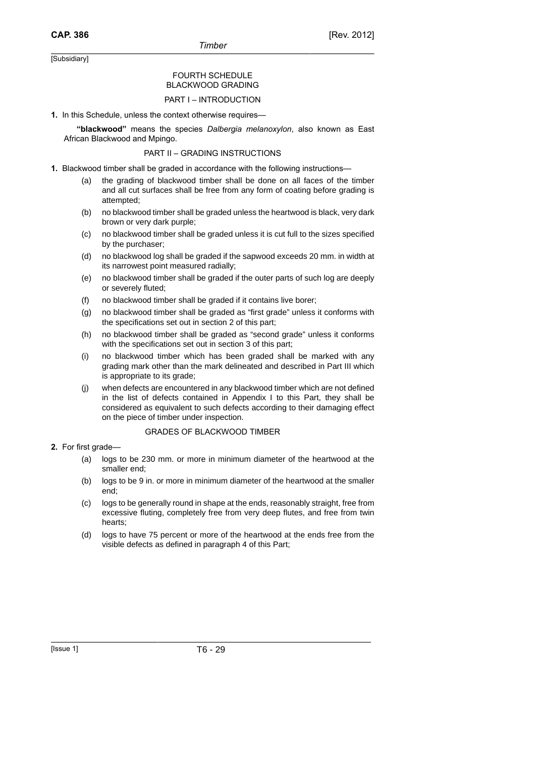### FOURTH SCHEDULE BLACKWOOD GRADING

#### PART I – INTRODUCTION

**1.** In this Schedule, unless the context otherwise requires—

**"blackwood"** means the species *Dalbergia melanoxylon*, also known as East African Blackwood and Mpingo.

### PART II – GRADING INSTRUCTIONS

- **1.** Blackwood timber shall be graded in accordance with the following instructions—
	- (a) the grading of blackwood timber shall be done on all faces of the timber and all cut surfaces shall be free from any form of coating before grading is attempted;
	- (b) no blackwood timber shall be graded unless the heartwood is black, very dark brown or very dark purple;
	- (c) no blackwood timber shall be graded unless it is cut full to the sizes specified by the purchaser;
	- (d) no blackwood log shall be graded if the sapwood exceeds 20 mm. in width at its narrowest point measured radially;
	- (e) no blackwood timber shall be graded if the outer parts of such log are deeply or severely fluted;
	- (f) no blackwood timber shall be graded if it contains live borer;
	- (g) no blackwood timber shall be graded as "first grade" unless it conforms with the specifications set out in section 2 of this part;
	- (h) no blackwood timber shall be graded as "second grade" unless it conforms with the specifications set out in section 3 of this part;
	- (i) no blackwood timber which has been graded shall be marked with any grading mark other than the mark delineated and described in Part III which is appropriate to its grade;
	- (j) when defects are encountered in any blackwood timber which are not defined in the list of defects contained in Appendix I to this Part, they shall be considered as equivalent to such defects according to their damaging effect on the piece of timber under inspection.

#### GRADES OF BLACKWOOD TIMBER

## **2.** For first grade—

- (a) logs to be 230 mm. or more in minimum diameter of the heartwood at the smaller end;
- (b) logs to be 9 in. or more in minimum diameter of the heartwood at the smaller end;
- (c) logs to be generally round in shape at the ends, reasonably straight, free from excessive fluting, completely free from very deep flutes, and free from twin hearts;
- (d) logs to have 75 percent or more of the heartwood at the ends free from the visible defects as defined in paragraph 4 of this Part;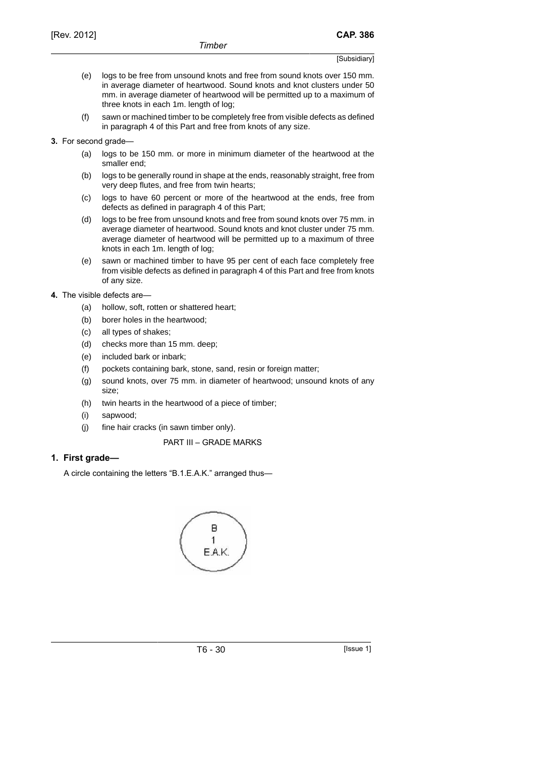- (e) logs to be free from unsound knots and free from sound knots over 150 mm. in average diameter of heartwood. Sound knots and knot clusters under 50 mm. in average diameter of heartwood will be permitted up to a maximum of three knots in each 1m. length of log;
- (f) sawn or machined timber to be completely free from visible defects as defined in paragraph 4 of this Part and free from knots of any size.
- **3.** For second grade—
	- (a) logs to be 150 mm. or more in minimum diameter of the heartwood at the smaller end;
	- (b) logs to be generally round in shape at the ends, reasonably straight, free from very deep flutes, and free from twin hearts;
	- (c) logs to have 60 percent or more of the heartwood at the ends, free from defects as defined in paragraph 4 of this Part;
	- (d) logs to be free from unsound knots and free from sound knots over 75 mm. in average diameter of heartwood. Sound knots and knot cluster under 75 mm. average diameter of heartwood will be permitted up to a maximum of three knots in each 1m. length of log;
	- (e) sawn or machined timber to have 95 per cent of each face completely free from visible defects as defined in paragraph 4 of this Part and free from knots of any size.

### **4.** The visible defects are—

- (a) hollow, soft, rotten or shattered heart;
- (b) borer holes in the heartwood;
- (c) all types of shakes;
- (d) checks more than 15 mm. deep;
- (e) included bark or inbark;
- (f) pockets containing bark, stone, sand, resin or foreign matter;
- (g) sound knots, over 75 mm. in diameter of heartwood; unsound knots of any size;
- (h) twin hearts in the heartwood of a piece of timber;
- (i) sapwood;
- (j) fine hair cracks (in sawn timber only).

### PART III – GRADE MARKS

## **1. First grade—**

A circle containing the letters "B.1.E.A.K." arranged thus—